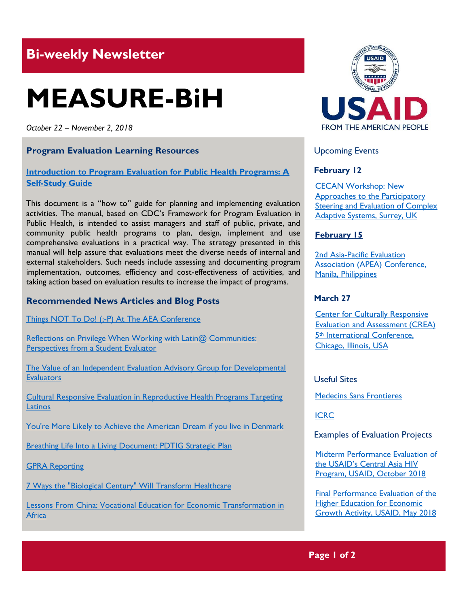# **Bi-weekly Newsletter**

# **MEASURE-BiH**

*October 22 – November 2, 2018*

## **Program Evaluation Learning Resources**

## **[Introduction to Program Evaluation for Public Health Programs: A](https://www.cdc.gov/eval/guide/cdcevalmanual.pdf)  [Self-Study Guide](https://www.cdc.gov/eval/guide/cdcevalmanual.pdf)**

This document is a "how to" guide for planning and implementing evaluation activities. The manual, based on CDC's Framework for Program Evaluation in Public Health, is intended to assist managers and staff of public, private, and community public health programs to plan, design, implement and use comprehensive evaluations in a practical way. The strategy presented in this manual will help assure that evaluations meet the diverse needs of internal and external stakeholders. Such needs include assessing and documenting program implementation, outcomes, efficiency and cost-effectiveness of activities, and taking action based on evaluation results to increase the impact of programs.

## **Recommended News Articles and Blog Posts**

[Things NOT To Do! \(;-P\) At The AEA Conference](https://aea365.org/blog/things-not-to-do-p-at-the-aea-conference-by-sara-vaca/)

Reflections on Privilege When Working with Latin@ Communities: [Perspectives from a Student Evaluator](https://aea365.org/blog/reflections-on-privilege-when-working-with-latin-communities-perspectives-from-a-student-evaluator-by-sarah-fleming/)

[The Value of an Independent Evaluation Advisory Group for Developmental](https://aea365.org/blog/the-value-of-an-independent-evaluation-advisory-group-for-developmental-evaluators-by-barbara-klugman/)  **[Evaluators](https://aea365.org/blog/the-value-of-an-independent-evaluation-advisory-group-for-developmental-evaluators-by-barbara-klugman/)** 

[Cultural Responsive Evaluation in Reproductive Health Programs Targeting](https://aea365.org/blog/cultural-responsive-evaluation-in-reproductive-health-programs-targeting-latinos-by-maritza-concha/)  **[Latinos](https://aea365.org/blog/cultural-responsive-evaluation-in-reproductive-health-programs-targeting-latinos-by-maritza-concha/)** 

[You're More Likely to Achieve the American Dream if you live in Denmark](https://www.weforum.org/agenda/2017/08/youre-more-likely-to-achieve-the-american-dream-if-you-live-in-denmark)

[Breathing Life Into a Living Document: PDTIG Strategic Plan](https://aea365.org/blog/breathing-life-into-a-living-document-pdtig-strategic-plan-by-jacqueline-singh/)

[GPRA Reporting](https://aea365.org/blog/bh-tig-week-gpra-reporting-by-kathleen-ferreira-and-roger-boothroyd/)

[7 Ways the "Biological Century" Will Transform Healthcare](https://www.weforum.org/agenda/2018/11/how-the-biological-century-will-transform-healthcare/)

[Lessons From China: Vocational Education for Economic Transformation in](https://blogs.worldbank.org/education/lessons-china-vocational-education-economic-transformation-africa)  **[Africa](https://blogs.worldbank.org/education/lessons-china-vocational-education-economic-transformation-africa)** 



#### Upcoming Events

#### **February 12**

[CECAN Workshop: New](https://www.cecan.ac.uk/events/cecan-workshop-new-approaches-to-participatory-steering-and-evaluation-of-complex-adaptive)  [Approaches to the Participatory](https://www.cecan.ac.uk/events/cecan-workshop-new-approaches-to-participatory-steering-and-evaluation-of-complex-adaptive)  [Steering and Evaluation of Complex](https://www.cecan.ac.uk/events/cecan-workshop-new-approaches-to-participatory-steering-and-evaluation-of-complex-adaptive)  [Adaptive Systems, Surrey, UK](https://www.cecan.ac.uk/events/cecan-workshop-new-approaches-to-participatory-steering-and-evaluation-of-complex-adaptive) 

#### **February 15**

[2nd Asia-Pacific Evaluation](http://apeaconference2019.com/)  [Association \(APEA\) Conference,](http://apeaconference2019.com/)  [Manila, Philippines](http://apeaconference2019.com/) 

#### **March 27**

[Center for Culturally Responsive](https://crea.education.illinois.edu/home/fifth-international-conference)  [Evaluation and Assessment \(CREA\)](https://crea.education.illinois.edu/home/fifth-international-conference)  5th [International Conference,](https://crea.education.illinois.edu/home/fifth-international-conference)  [Chicago, Illinois, USA](https://crea.education.illinois.edu/home/fifth-international-conference) 

Useful Sites

[Medecins Sans Frontieres](https://www.msf.org/)

[ICRC](https://www.icrc.org/en)

Examples of Evaluation Projects

[Midterm Performance Evaluation of](https://dec.usaid.gov/dec/content/Detail_Presto.aspx?ctID=ODVhZjk4NWQtM2YyMi00YjRmLTkxNjktZTcxMjM2NDBmY2Uy&rID=NTEzMDY3&qrs=RmFsc2U%3d&q=KERvY3VtZW50cy5CaWJ0eXBlX05hbWU6KCgiU3BlY2lhbCBFdmFsdWF0aW9uIikgT1IgKCJGaW5hbCBFdmFsdWF0aW9uIFJlcG9ydCIpKSk%3d&ph=VHJ1ZQ%3d%3d&bckToL=VHJ1ZQ%3d%3d&rrtc=VHJ1ZQ%3d%3d)  the [USAID's Central Asia HIV](https://dec.usaid.gov/dec/content/Detail_Presto.aspx?ctID=ODVhZjk4NWQtM2YyMi00YjRmLTkxNjktZTcxMjM2NDBmY2Uy&rID=NTEzMDY3&qrs=RmFsc2U%3d&q=KERvY3VtZW50cy5CaWJ0eXBlX05hbWU6KCgiU3BlY2lhbCBFdmFsdWF0aW9uIikgT1IgKCJGaW5hbCBFdmFsdWF0aW9uIFJlcG9ydCIpKSk%3d&ph=VHJ1ZQ%3d%3d&bckToL=VHJ1ZQ%3d%3d&rrtc=VHJ1ZQ%3d%3d)  [Program, USAID, October](https://dec.usaid.gov/dec/content/Detail_Presto.aspx?ctID=ODVhZjk4NWQtM2YyMi00YjRmLTkxNjktZTcxMjM2NDBmY2Uy&rID=NTEzMDY3&qrs=RmFsc2U%3d&q=KERvY3VtZW50cy5CaWJ0eXBlX05hbWU6KCgiU3BlY2lhbCBFdmFsdWF0aW9uIikgT1IgKCJGaW5hbCBFdmFsdWF0aW9uIFJlcG9ydCIpKSk%3d&ph=VHJ1ZQ%3d%3d&bckToL=VHJ1ZQ%3d%3d&rrtc=VHJ1ZQ%3d%3d) 2018

[Final Performance Evaluation of the](https://dec.usaid.gov/dec/content/Detail_Presto.aspx?ctID=ODVhZjk4NWQtM2YyMi00YjRmLTkxNjktZTcxMjM2NDBmY2Uy&rID=NTEwNTgw&qrs=RmFsc2U%3d&q=KERvY3VtZW50cy5CaWJ0eXBlX05hbWU6KCgiU3BlY2lhbCBFdmFsdWF0aW9uIikgT1IgKCJGaW5hbCBFdmFsdWF0aW9uIFJlcG9ydCIpKSk%3d&swi=eW91dGg%3d&ph=VHJ1ZQ%3d%3d&bckToL=VHJ1ZQ%3d%3d&rrtc=VHJ1ZQ%3d%3d)  **Higher Education for Economic** [Growth Activity, USAID, May 2018](https://dec.usaid.gov/dec/content/Detail_Presto.aspx?ctID=ODVhZjk4NWQtM2YyMi00YjRmLTkxNjktZTcxMjM2NDBmY2Uy&rID=NTEwNTgw&qrs=RmFsc2U%3d&q=KERvY3VtZW50cy5CaWJ0eXBlX05hbWU6KCgiU3BlY2lhbCBFdmFsdWF0aW9uIikgT1IgKCJGaW5hbCBFdmFsdWF0aW9uIFJlcG9ydCIpKSk%3d&swi=eW91dGg%3d&ph=VHJ1ZQ%3d%3d&bckToL=VHJ1ZQ%3d%3d&rrtc=VHJ1ZQ%3d%3d)

# **Page 1 of 2**